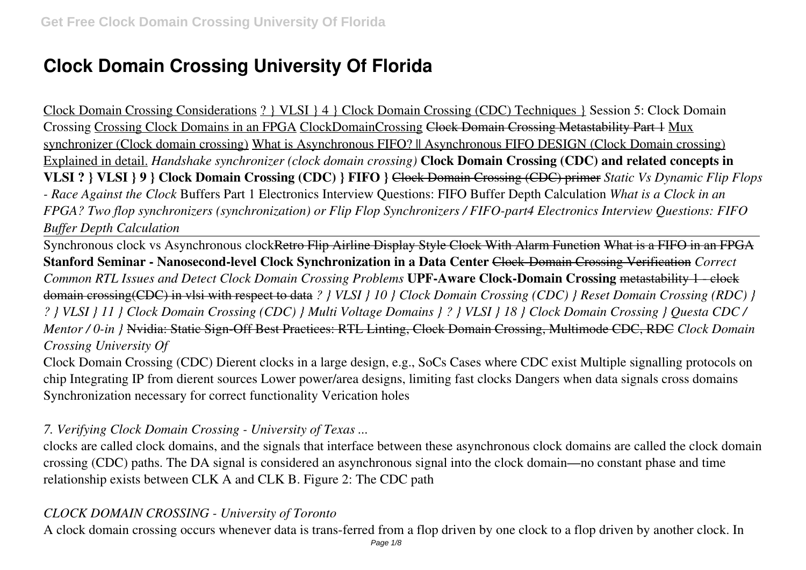# **Clock Domain Crossing University Of Florida**

Clock Domain Crossing Considerations ? } VLSI } 4 } Clock Domain Crossing (CDC) Techniques } Session 5: Clock Domain Crossing Crossing Clock Domains in an FPGA ClockDomainCrossing Clock Domain Crossing Metastability Part 1 Mux synchronizer (Clock domain crossing) What is Asynchronous FIFO? || Asynchronous FIFO DESIGN (Clock Domain crossing) Explained in detail. *Handshake synchronizer (clock domain crossing)* **Clock Domain Crossing (CDC) and related concepts in VLSI ? } VLSI } 9 } Clock Domain Crossing (CDC) } FIFO }** Clock Domain Crossing (CDC) primer *Static Vs Dynamic Flip Flops - Race Against the Clock* Buffers Part 1 Electronics Interview Questions: FIFO Buffer Depth Calculation *What is a Clock in an FPGA? Two flop synchronizers (synchronization) or Flip Flop Synchronizers / FIFO-part4 Electronics Interview Questions: FIFO Buffer Depth Calculation*

Synchronous clock vs Asynchronous clockRetro Flip Airline Display Style Clock With Alarm Function What is a FIFO in an FPGA **Stanford Seminar - Nanosecond-level Clock Synchronization in a Data Center** Clock-Domain Crossing Verification *Correct Common RTL Issues and Detect Clock Domain Crossing Problems* **UPF-Aware Clock-Domain Crossing** metastability 1 - clock domain crossing(CDC) in vlsi with respect to data *? } VLSI } 10 } Clock Domain Crossing (CDC) } Reset Domain Crossing (RDC) } ? } VLSI } 11 } Clock Domain Crossing (CDC) } Multi Voltage Domains } ? } VLSI } 18 } Clock Domain Crossing } Questa CDC / Mentor / 0-in }* Nvidia: Static Sign-Off Best Practices: RTL Linting, Clock Domain Crossing, Multimode CDC, RDC *Clock Domain Crossing University Of*

Clock Domain Crossing (CDC) Dierent clocks in a large design, e.g., SoCs Cases where CDC exist Multiple signalling protocols on chip Integrating IP from dierent sources Lower power/area designs, limiting fast clocks Dangers when data signals cross domains Synchronization necessary for correct functionality Verication holes

#### *7. Verifying Clock Domain Crossing - University of Texas ...*

clocks are called clock domains, and the signals that interface between these asynchronous clock domains are called the clock domain crossing (CDC) paths. The DA signal is considered an asynchronous signal into the clock domain—no constant phase and time relationship exists between CLK A and CLK B. Figure 2: The CDC path

#### *CLOCK DOMAIN CROSSING - University of Toronto*

A clock domain crossing occurs whenever data is trans-ferred from a flop driven by one clock to a flop driven by another clock. In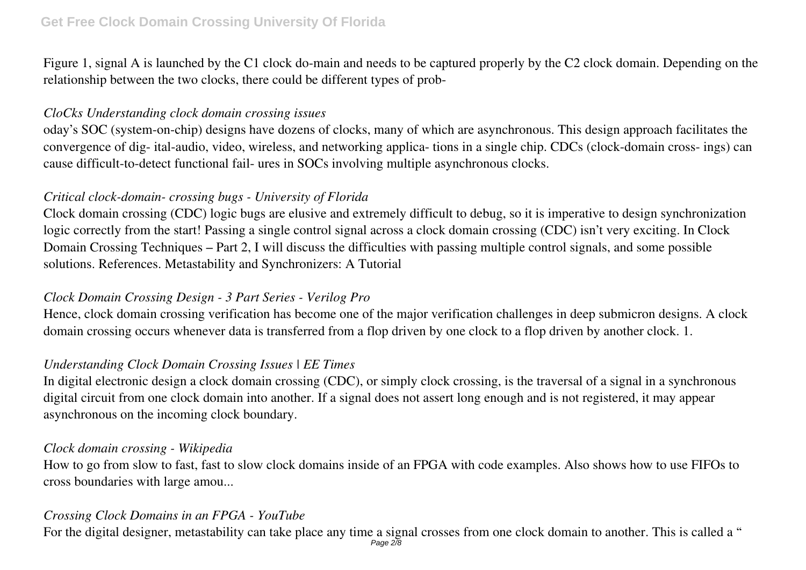Figure 1, signal A is launched by the C1 clock do-main and needs to be captured properly by the C2 clock domain. Depending on the relationship between the two clocks, there could be different types of prob-

#### *CloCks Understanding clock domain crossing issues*

oday's SOC (system-on-chip) designs have dozens of clocks, many of which are asynchronous. This design approach facilitates the convergence of dig- ital-audio, video, wireless, and networking applica- tions in a single chip. CDCs (clock-domain cross- ings) can cause difficult-to-detect functional fail- ures in SOCs involving multiple asynchronous clocks.

## *Critical clock-domain- crossing bugs - University of Florida*

Clock domain crossing (CDC) logic bugs are elusive and extremely difficult to debug, so it is imperative to design synchronization logic correctly from the start! Passing a single control signal across a clock domain crossing (CDC) isn't very exciting. In Clock Domain Crossing Techniques – Part 2, I will discuss the difficulties with passing multiple control signals, and some possible solutions. References. Metastability and Synchronizers: A Tutorial

## *Clock Domain Crossing Design - 3 Part Series - Verilog Pro*

Hence, clock domain crossing verification has become one of the major verification challenges in deep submicron designs. A clock domain crossing occurs whenever data is transferred from a flop driven by one clock to a flop driven by another clock. 1.

## *Understanding Clock Domain Crossing Issues | EE Times*

In digital electronic design a clock domain crossing (CDC), or simply clock crossing, is the traversal of a signal in a synchronous digital circuit from one clock domain into another. If a signal does not assert long enough and is not registered, it may appear asynchronous on the incoming clock boundary.

#### *Clock domain crossing - Wikipedia*

How to go from slow to fast, fast to slow clock domains inside of an FPGA with code examples. Also shows how to use FIFOs to cross boundaries with large amou...

## *Crossing Clock Domains in an FPGA - YouTube*

For the digital designer, metastability can take place any time a signal crosses from one clock domain to another. This is called a " Page 2/8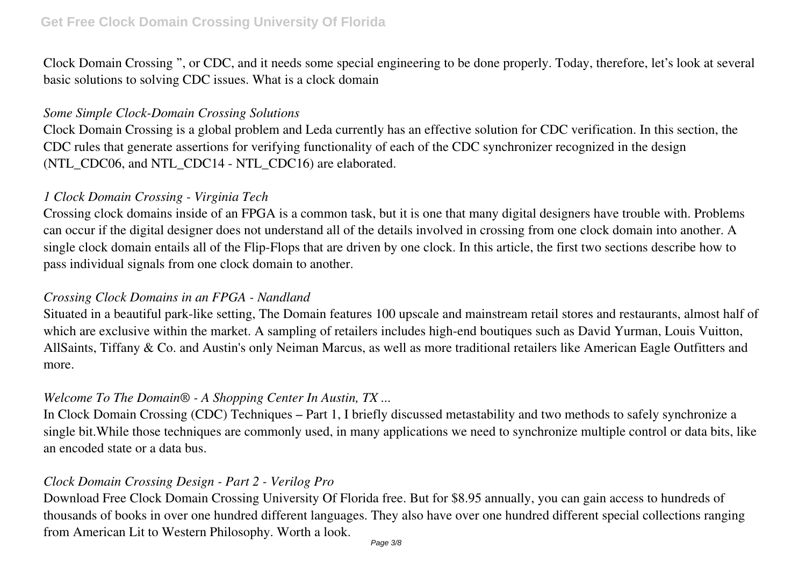Clock Domain Crossing ", or CDC, and it needs some special engineering to be done properly. Today, therefore, let's look at several basic solutions to solving CDC issues. What is a clock domain

#### *Some Simple Clock-Domain Crossing Solutions*

Clock Domain Crossing is a global problem and Leda currently has an effective solution for CDC verification. In this section, the CDC rules that generate assertions for verifying functionality of each of the CDC synchronizer recognized in the design (NTL\_CDC06, and NTL\_CDC14 - NTL\_CDC16) are elaborated.

#### *1 Clock Domain Crossing - Virginia Tech*

Crossing clock domains inside of an FPGA is a common task, but it is one that many digital designers have trouble with. Problems can occur if the digital designer does not understand all of the details involved in crossing from one clock domain into another. A single clock domain entails all of the Flip-Flops that are driven by one clock. In this article, the first two sections describe how to pass individual signals from one clock domain to another.

## *Crossing Clock Domains in an FPGA - Nandland*

Situated in a beautiful park-like setting, The Domain features 100 upscale and mainstream retail stores and restaurants, almost half of which are exclusive within the market. A sampling of retailers includes high-end boutiques such as David Yurman, Louis Vuitton, AllSaints, Tiffany & Co. and Austin's only Neiman Marcus, as well as more traditional retailers like American Eagle Outfitters and more.

## *Welcome To The Domain® - A Shopping Center In Austin, TX ...*

In Clock Domain Crossing (CDC) Techniques – Part 1, I briefly discussed metastability and two methods to safely synchronize a single bit.While those techniques are commonly used, in many applications we need to synchronize multiple control or data bits, like an encoded state or a data bus.

# *Clock Domain Crossing Design - Part 2 - Verilog Pro*

Download Free Clock Domain Crossing University Of Florida free. But for \$8.95 annually, you can gain access to hundreds of thousands of books in over one hundred different languages. They also have over one hundred different special collections ranging from American Lit to Western Philosophy. Worth a look.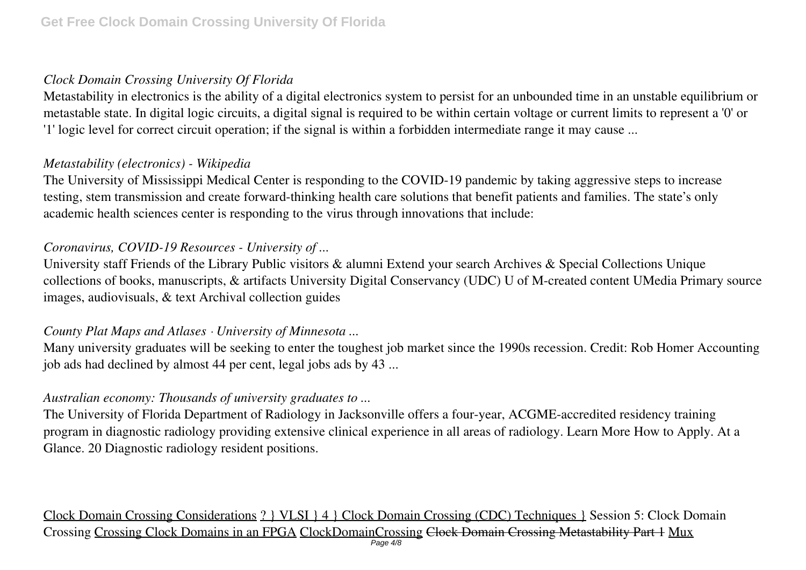## *Clock Domain Crossing University Of Florida*

Metastability in electronics is the ability of a digital electronics system to persist for an unbounded time in an unstable equilibrium or metastable state. In digital logic circuits, a digital signal is required to be within certain voltage or current limits to represent a '0' or '1' logic level for correct circuit operation; if the signal is within a forbidden intermediate range it may cause ...

## *Metastability (electronics) - Wikipedia*

The University of Mississippi Medical Center is responding to the COVID-19 pandemic by taking aggressive steps to increase testing, stem transmission and create forward-thinking health care solutions that benefit patients and families. The state's only academic health sciences center is responding to the virus through innovations that include:

## *Coronavirus, COVID-19 Resources - University of ...*

University staff Friends of the Library Public visitors & alumni Extend your search Archives & Special Collections Unique collections of books, manuscripts, & artifacts University Digital Conservancy (UDC) U of M-created content UMedia Primary source images, audiovisuals, & text Archival collection guides

## *County Plat Maps and Atlases · University of Minnesota ...*

Many university graduates will be seeking to enter the toughest job market since the 1990s recession. Credit: Rob Homer Accounting job ads had declined by almost 44 per cent, legal jobs ads by 43 ...

## *Australian economy: Thousands of university graduates to ...*

The University of Florida Department of Radiology in Jacksonville offers a four-year, ACGME-accredited residency training program in diagnostic radiology providing extensive clinical experience in all areas of radiology. Learn More How to Apply. At a Glance. 20 Diagnostic radiology resident positions.

Clock Domain Crossing Considerations ? } VLSI } 4 } Clock Domain Crossing (CDC) Techniques } Session 5: Clock Domain Crossing Crossing Clock Domains in an FPGA ClockDomainCrossing Clock Domain Crossing Metastability Part 1 Mux Page  $4/8$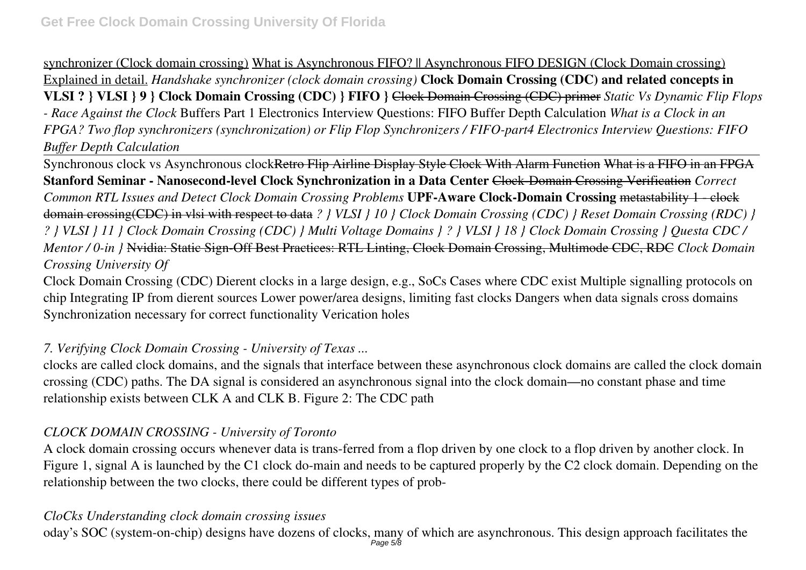synchronizer (Clock domain crossing) What is Asynchronous FIFO? || Asynchronous FIFO DESIGN (Clock Domain crossing) Explained in detail. *Handshake synchronizer (clock domain crossing)* **Clock Domain Crossing (CDC) and related concepts in VLSI ? } VLSI } 9 } Clock Domain Crossing (CDC) } FIFO }** Clock Domain Crossing (CDC) primer *Static Vs Dynamic Flip Flops - Race Against the Clock* Buffers Part 1 Electronics Interview Questions: FIFO Buffer Depth Calculation *What is a Clock in an FPGA? Two flop synchronizers (synchronization) or Flip Flop Synchronizers / FIFO-part4 Electronics Interview Questions: FIFO Buffer Depth Calculation*

Synchronous clock vs Asynchronous clockRetro Flip Airline Display Style Clock With Alarm Function What is a FIFO in an FPGA **Stanford Seminar - Nanosecond-level Clock Synchronization in a Data Center** Clock-Domain Crossing Verification *Correct Common RTL Issues and Detect Clock Domain Crossing Problems* **UPF-Aware Clock-Domain Crossing** metastability 1 - clock domain crossing(CDC) in vlsi with respect to data *? } VLSI } 10 } Clock Domain Crossing (CDC) } Reset Domain Crossing (RDC) } ? } VLSI } 11 } Clock Domain Crossing (CDC) } Multi Voltage Domains } ? } VLSI } 18 } Clock Domain Crossing } Questa CDC / Mentor / 0-in }* Nvidia: Static Sign-Off Best Practices: RTL Linting, Clock Domain Crossing, Multimode CDC, RDC *Clock Domain Crossing University Of*

Clock Domain Crossing (CDC) Dierent clocks in a large design, e.g., SoCs Cases where CDC exist Multiple signalling protocols on chip Integrating IP from dierent sources Lower power/area designs, limiting fast clocks Dangers when data signals cross domains Synchronization necessary for correct functionality Verication holes

# *7. Verifying Clock Domain Crossing - University of Texas ...*

clocks are called clock domains, and the signals that interface between these asynchronous clock domains are called the clock domain crossing (CDC) paths. The DA signal is considered an asynchronous signal into the clock domain—no constant phase and time relationship exists between CLK A and CLK B. Figure 2: The CDC path

## *CLOCK DOMAIN CROSSING - University of Toronto*

A clock domain crossing occurs whenever data is trans-ferred from a flop driven by one clock to a flop driven by another clock. In Figure 1, signal A is launched by the C1 clock do-main and needs to be captured properly by the C2 clock domain. Depending on the relationship between the two clocks, there could be different types of prob-

## *CloCks Understanding clock domain crossing issues*

oday's SOC (system-on-chip) designs have dozens of clocks, many of which are asynchronous. This design approach facilitates the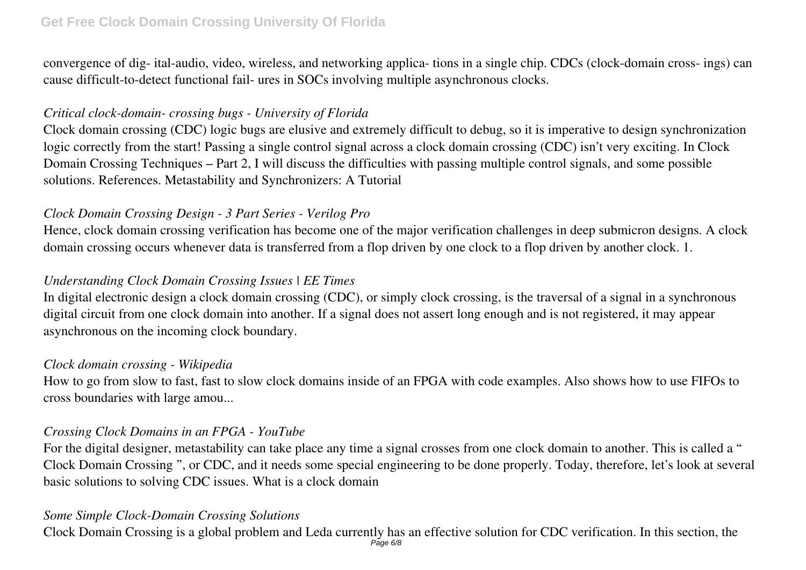#### **Get Free Clock Domain Crossing University Of Florida**

convergence of dig- ital-audio, video, wireless, and networking applica- tions in a single chip. CDCs (clock-domain cross- ings) can cause difficult-to-detect functional fail- ures in SOCs involving multiple asynchronous clocks.

#### *Critical clock-domain- crossing bugs - University of Florida*

Clock domain crossing (CDC) logic bugs are elusive and extremely difficult to debug, so it is imperative to design synchronization logic correctly from the start! Passing a single control signal across a clock domain crossing (CDC) isn't very exciting. In Clock Domain Crossing Techniques – Part 2, I will discuss the difficulties with passing multiple control signals, and some possible solutions. References. Metastability and Synchronizers: A Tutorial

## *Clock Domain Crossing Design - 3 Part Series - Verilog Pro*

Hence, clock domain crossing verification has become one of the major verification challenges in deep submicron designs. A clock domain crossing occurs whenever data is transferred from a flop driven by one clock to a flop driven by another clock. 1.

## *Understanding Clock Domain Crossing Issues | EE Times*

In digital electronic design a clock domain crossing (CDC), or simply clock crossing, is the traversal of a signal in a synchronous digital circuit from one clock domain into another. If a signal does not assert long enough and is not registered, it may appear asynchronous on the incoming clock boundary.

#### *Clock domain crossing - Wikipedia*

How to go from slow to fast, fast to slow clock domains inside of an FPGA with code examples. Also shows how to use FIFOs to cross boundaries with large amou...

#### *Crossing Clock Domains in an FPGA - YouTube*

For the digital designer, metastability can take place any time a signal crosses from one clock domain to another. This is called a " Clock Domain Crossing ", or CDC, and it needs some special engineering to be done properly. Today, therefore, let's look at several basic solutions to solving CDC issues. What is a clock domain

#### *Some Simple Clock-Domain Crossing Solutions*

Clock Domain Crossing is a global problem and Leda currently has an effective solution for CDC verification. In this section, the  $P$ age 6/8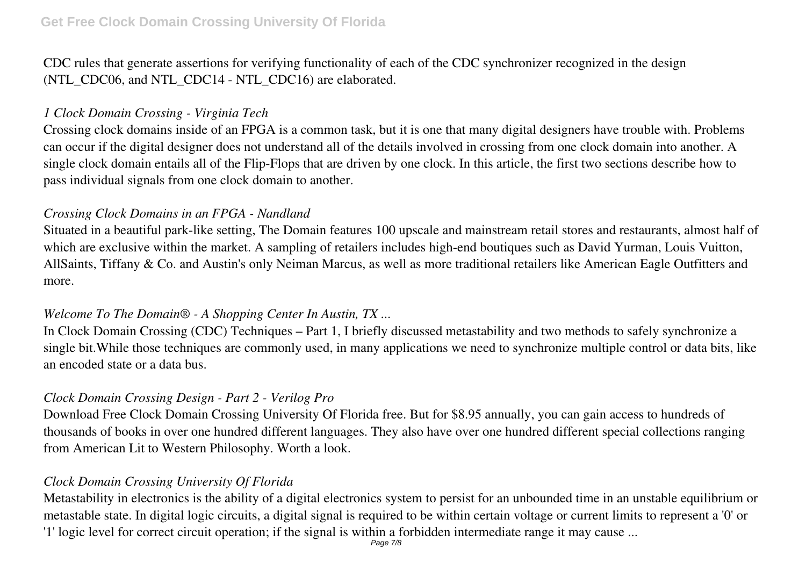CDC rules that generate assertions for verifying functionality of each of the CDC synchronizer recognized in the design (NTL CDC06, and NTL CDC14 - NTL CDC16) are elaborated.

#### *1 Clock Domain Crossing - Virginia Tech*

Crossing clock domains inside of an FPGA is a common task, but it is one that many digital designers have trouble with. Problems can occur if the digital designer does not understand all of the details involved in crossing from one clock domain into another. A single clock domain entails all of the Flip-Flops that are driven by one clock. In this article, the first two sections describe how to pass individual signals from one clock domain to another.

## *Crossing Clock Domains in an FPGA - Nandland*

Situated in a beautiful park-like setting, The Domain features 100 upscale and mainstream retail stores and restaurants, almost half of which are exclusive within the market. A sampling of retailers includes high-end boutiques such as David Yurman, Louis Vuitton, AllSaints, Tiffany & Co. and Austin's only Neiman Marcus, as well as more traditional retailers like American Eagle Outfitters and more.

#### *Welcome To The Domain® - A Shopping Center In Austin, TX ...*

In Clock Domain Crossing (CDC) Techniques – Part 1, I briefly discussed metastability and two methods to safely synchronize a single bit.While those techniques are commonly used, in many applications we need to synchronize multiple control or data bits, like an encoded state or a data bus.

# *Clock Domain Crossing Design - Part 2 - Verilog Pro*

Download Free Clock Domain Crossing University Of Florida free. But for \$8.95 annually, you can gain access to hundreds of thousands of books in over one hundred different languages. They also have over one hundred different special collections ranging from American Lit to Western Philosophy. Worth a look.

# *Clock Domain Crossing University Of Florida*

Metastability in electronics is the ability of a digital electronics system to persist for an unbounded time in an unstable equilibrium or metastable state. In digital logic circuits, a digital signal is required to be within certain voltage or current limits to represent a '0' or '1' logic level for correct circuit operation; if the signal is within a forbidden intermediate range it may cause ...